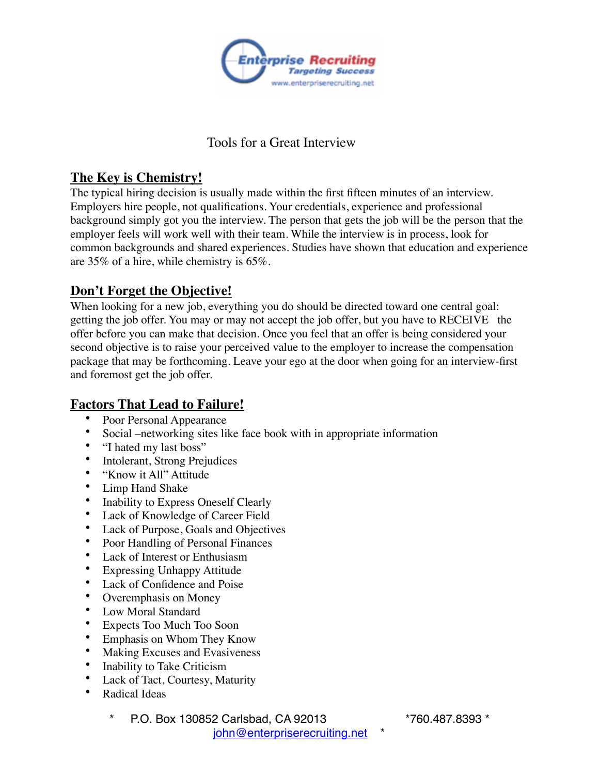

# Tools for a Great Interview

## **The Key is Chemistry!**

The typical hiring decision is usually made within the first fifteen minutes of an interview. Employers hire people, not qualifications. Your credentials, experience and professional background simply got you the interview. The person that gets the job will be the person that the employer feels will work well with their team. While the interview is in process, look for common backgrounds and shared experiences. Studies have shown that education and experience are 35% of a hire, while chemistry is 65%.

# **Don't Forget the Objective!**

When looking for a new job, everything you do should be directed toward one central goal: getting the job offer. You may or may not accept the job offer, but you have to RECEIVE the offer before you can make that decision. Once you feel that an offer is being considered your second objective is to raise your perceived value to the employer to increase the compensation package that may be forthcoming. Leave your ego at the door when going for an interview-first and foremost get the job offer.

# **Factors That Lead to Failure!**

- Poor Personal Appearance
- Social –networking sites like face book with in appropriate information
- "I hated my last boss"
- Intolerant, Strong Prejudices<br>• "Know it All" Attitude
- "Know it All" Attitude
- Limp Hand Shake
- Inability to Express Oneself Clearly
- Lack of Knowledge of Career Field
- Lack of Purpose, Goals and Objectives
- Poor Handling of Personal Finances
- Lack of Interest or Enthusiasm
- Expressing Unhappy Attitude
- Lack of Confidence and Poise
- Overemphasis on Money
- Low Moral Standard
- Expects Too Much Too Soon
- Emphasis on Whom They Know
- Making Excuses and Evasiveness
- Inability to Take Criticism
- Lack of Tact, Courtesy, Maturity
- Radical Ideas
	- \* P.O. Box 130852 Carlsbad, CA 92013 \*760.487.8393 \* john@enterpriserecruiting.net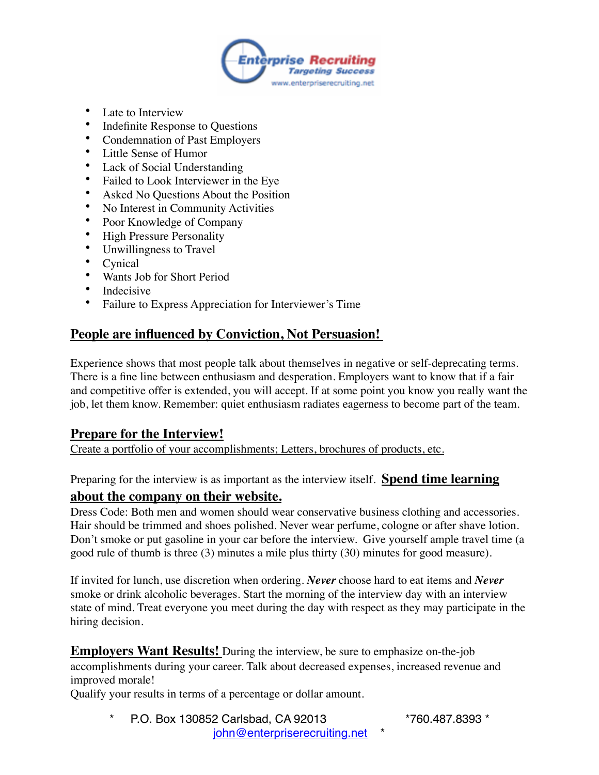

- Late to Interview
- Indefinite Response to Questions
- Condemnation of Past Employers
- Little Sense of Humor
- Lack of Social Understanding
- Failed to Look Interviewer in the Eye
- Asked No Questions About the Position
- No Interest in Community Activities
- Poor Knowledge of Company
- High Pressure Personality
- Unwillingness to Travel
- Cynical
- Wants Job for Short Period
- Indecisive
- Failure to Express Appreciation for Interviewer's Time

# **People are influenced by Conviction, Not Persuasion!**

Experience shows that most people talk about themselves in negative or self-deprecating terms. There is a fine line between enthusiasm and desperation. Employers want to know that if a fair and competitive offer is extended, you will accept. If at some point you know you really want the job, let them know. Remember: quiet enthusiasm radiates eagerness to become part of the team.

# **Prepare for the Interview!**

Create a portfolio of your accomplishments; Letters, brochures of products, etc.

Preparing for the interview is as important as the interview itself. **Spend time learning** 

### **about the company on their website.**

Dress Code: Both men and women should wear conservative business clothing and accessories. Hair should be trimmed and shoes polished. Never wear perfume, cologne or after shave lotion. Don't smoke or put gasoline in your car before the interview. Give yourself ample travel time (a good rule of thumb is three (3) minutes a mile plus thirty (30) minutes for good measure).

If invited for lunch, use discretion when ordering. *Never* choose hard to eat items and *Never* smoke or drink alcoholic beverages. Start the morning of the interview day with an interview state of mind. Treat everyone you meet during the day with respect as they may participate in the hiring decision.

**Employers Want Results!** During the interview, be sure to emphasize on-the-job accomplishments during your career. Talk about decreased expenses, increased revenue and improved morale!

Qualify your results in terms of a percentage or dollar amount.

\* P.O. Box 130852 Carlsbad, CA 92013 \*760.487.8393 \* john@enterpriserecruiting.net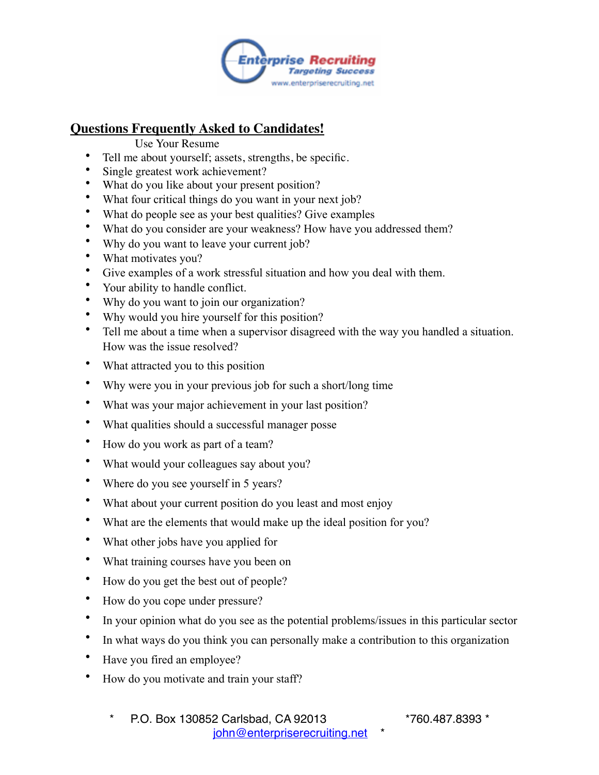

# **Questions Frequently Asked to Candidates!**

- Use Your Resume
- Tell me about yourself; assets, strengths, be specific.
- Single greatest work achievement?
- What do you like about your present position?
- What four critical things do you want in your next job?
- What do people see as your best qualities? Give examples
- What do you consider are your weakness? How have you addressed them?
- Why do you want to leave your current job?
- What motivates you?
- Give examples of a work stressful situation and how you deal with them.
- Your ability to handle conflict.
- Why do you want to join our organization?
- Why would you hire yourself for this position?
- Tell me about a time when a supervisor disagreed with the way you handled a situation. How was the issue resolved?
- What attracted you to this position
- Why were you in your previous job for such a short/long time
- What was your major achievement in your last position?
- What qualities should a successful manager posse
- How do you work as part of a team?
- What would your colleagues say about you?
- Where do you see yourself in 5 years?
- What about your current position do you least and most enjoy
- What are the elements that would make up the ideal position for you?
- What other jobs have you applied for
- What training courses have you been on
- How do you get the best out of people?
- How do you cope under pressure?
- In your opinion what do you see as the potential problems/issues in this particular sector
- In what ways do you think you can personally make a contribution to this organization
- Have you fired an employee?
- How do you motivate and train your staff?
	- \* P.O. Box 130852 Carlsbad, CA 92013 \*760.487.8393 \* john@enterpriserecruiting.net